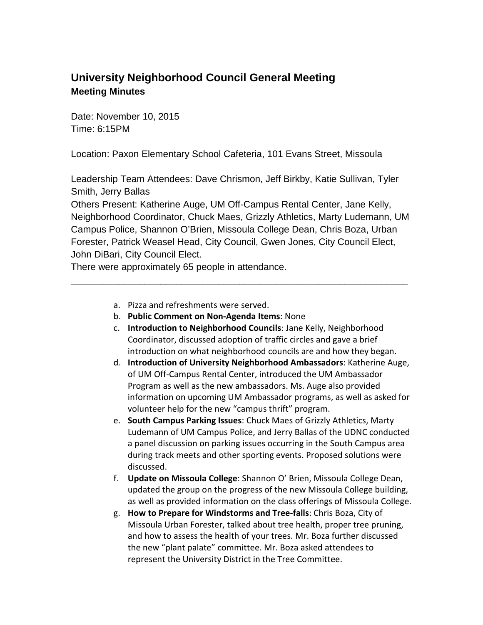#### **University Neighborhood Council General Meeting Meeting Minutes**

Date: November 10, 2015 Time: 6:15PM

Location: Paxon Elementary School Cafeteria, 101 Evans Street, Missoula

Leadership Team Attendees: Dave Chrismon, Jeff Birkby, Katie Sullivan, Tyler Smith, Jerry Ballas

Others Present: Katherine Auge, UM Off-Campus Rental Center, Jane Kelly, Neighborhood Coordinator, Chuck Maes, Grizzly Athletics, Marty Ludemann, UM Campus Police, Shannon O'Brien, Missoula College Dean, Chris Boza, Urban Forester, Patrick Weasel Head, City Council, Gwen Jones, City Council Elect, John DiBari, City Council Elect.

\_\_\_\_\_\_\_\_\_\_\_\_\_\_\_\_\_\_\_\_\_\_\_\_\_\_\_\_\_\_\_\_\_\_\_\_\_\_\_\_\_\_\_\_\_\_\_\_\_\_\_\_\_\_\_\_\_\_\_\_\_\_\_\_

There were approximately 65 people in attendance.

- a. Pizza and refreshments were served.
- b. **Public Comment on Non-Agenda Items**: None
- c. **Introduction to Neighborhood Councils**: Jane Kelly, Neighborhood Coordinator, discussed adoption of traffic circles and gave a brief introduction on what neighborhood councils are and how they began.
- d. **Introduction of University Neighborhood Ambassadors**: Katherine Auge, of UM Off-Campus Rental Center, introduced the UM Ambassador Program as well as the new ambassadors. Ms. Auge also provided information on upcoming UM Ambassador programs, as well as asked for volunteer help for the new "campus thrift" program.
- e. **South Campus Parking Issues**: Chuck Maes of Grizzly Athletics, Marty Ludemann of UM Campus Police, and Jerry Ballas of the UDNC conducted a panel discussion on parking issues occurring in the South Campus area during track meets and other sporting events. Proposed solutions were discussed.
- f. **Update on Missoula College**: Shannon O' Brien, Missoula College Dean, updated the group on the progress of the new Missoula College building, as well as provided information on the class offerings of Missoula College.
- g. **How to Prepare for Windstorms and Tree-falls**: Chris Boza, City of Missoula Urban Forester, talked about tree health, proper tree pruning, and how to assess the health of your trees. Mr. Boza further discussed the new "plant palate" committee. Mr. Boza asked attendees to represent the University District in the Tree Committee.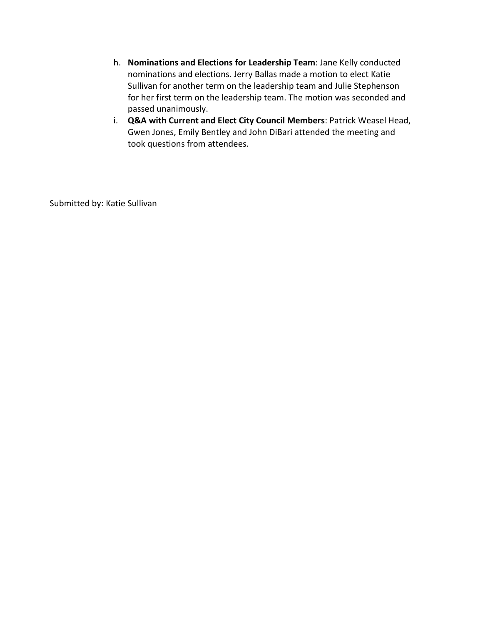- h. **Nominations and Elections for Leadership Team**: Jane Kelly conducted nominations and elections. Jerry Ballas made a motion to elect Katie Sullivan for another term on the leadership team and Julie Stephenson for her first term on the leadership team. The motion was seconded and passed unanimously.
- i. **Q&A with Current and Elect City Council Members**: Patrick Weasel Head, Gwen Jones, Emily Bentley and John DiBari attended the meeting and took questions from attendees.

Submitted by: Katie Sullivan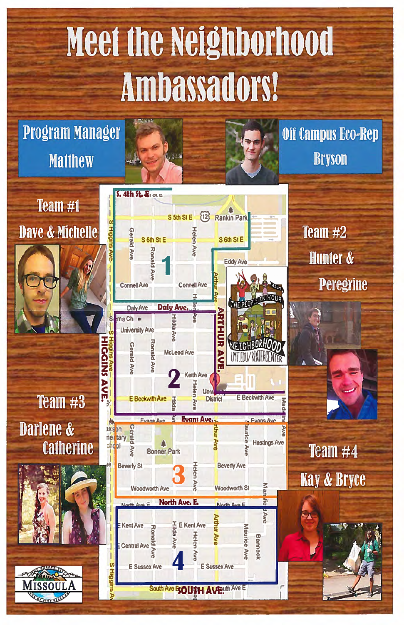# Meet the Neighborhood Ambassadors!

### **Program Manager Matthew**

Team #1

 $s.$  4th  $s.$   $s.$ **123** Rankin Park S 5th St E **S** Higgin **Dave & Michelle Gerald Ave Helen Ave** S 6th St E S 6th St E **Ronald Ave** Eddy Ave **Connell Ave Connell Ave Daly Ave.** Daly Ave ma Chi Hilda S **University Ave** Henri Ave HIGGINS **Ronald Av Gerald Ave McLeod Ave Keith Ave** AVE. **E** Beckwith Ave E Beckwith Ave **District Papa Evans Ave. Funne Ave Fuans Ave Gerald Ave** axs on net tary **Hastings Ave** 

Off Campus Eco-Rep **Bryson** 

> Team  $#2$ **Hunter & Peregrine**

Team  $#3$ Darlene & **Catherine** 

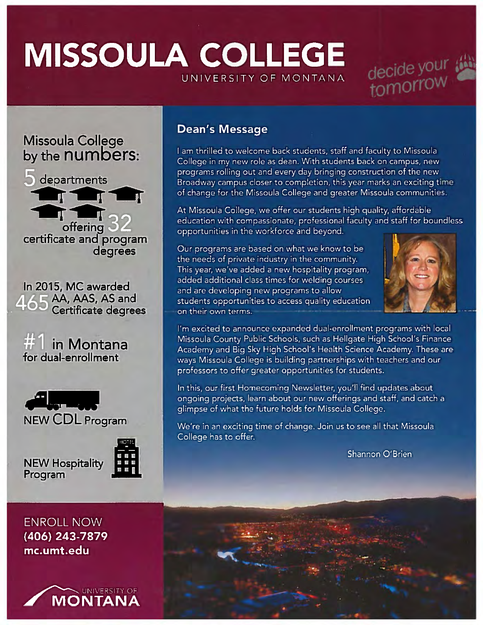## MISSOULA COLLEGEUNIVERSITY OF MONTANA MISSOULA COLLEGE<br>Missoula College<br>Nissoula College<br>And the DUMBORS: Lam thrilled to welcome back students, staff and faculty to Missoula







In 2015, MC awarded 465 AA, AAS, AS and<br>Certificate degre





NEW Hospitality Program



**ENROLL NOW** (406) 243-7879 mc.umt.edu



#### Dean's Message

I am thrilled to welcome back students, staff and faculty to Missoula College in my new role as dean. With students back on campus, new programs rolling out and every day bringing construction of the new Broadway campus closer to completion, this year marks an exciting time of change for the Missoula College and greater Missoula communities.

At Missoula College, we offer our students high quality, affordable education with compassionate, professional faculty and staff for boundless opportunities in the workforce and beyond.

Our programs are based on what we know to be <sup>I</sup>the needs of private industry in the community. IThis year, we've added <sup>a</sup> new hospitality program, Iadded additional class times for welding courses and are developing new programs to allow students opportunities to access quality education on their own terms. **Example 18 CONTRAM AND CONTRAM AND CONTRAM AND CONTRAM AND CONTRAM AND CONTRAM AND TO PROPERTIES AND RELATED AND AN AN ANGLE OF A CONTRAM AND CONTRAM AND MISSOULA CHE WAS SURFACE AND AN AN AND AND AN AN AND AN AN AN AN AN** 



I'm excited to announce expanded dual-enrollment programs with loca Missoula County Public Schools, such as Heligate High School's Finance Academy and Big Sky High School's Health Science Academy. These are ways Missoula College is building partnerships with teachers and our professors to offer greater opportunities for students.

In this, our first Homecoming Newsletter, you'll find updates about ongoing projects, learn about our new offerings and staff, and catch <sup>a</sup> glimpse of what the future holds for Missoula College.

We're in an exciting time of change. Join us to see all that Missoula College has to offer.

Shannon O'Brien

r an

'L0

'Visit and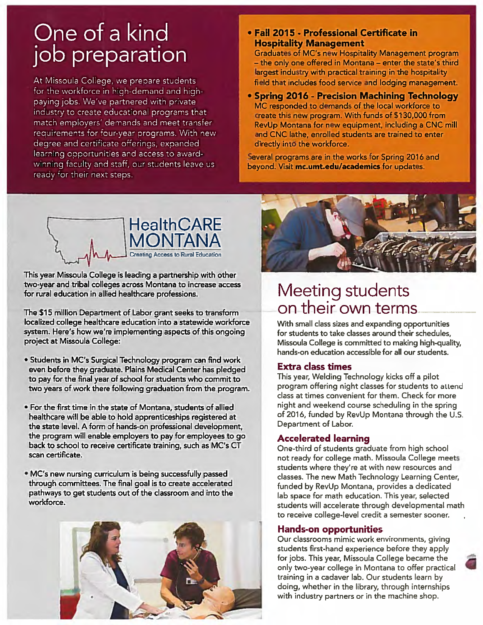#### One of a kind job preparation

At Missoula College, we prepare students for the workforce in high-demand and highpaying jobs. We've partnered with private industry to create educational programs that match employers' demands and meet transfer requirements for four-year programs. With new degree and certificate offerings, expanded learning opportunities and access to awardwinning faculty and staff, our students leave us ready for their next steps.

#### Fall 2015 - Professional Certificate in Hospitality Management

Graduates of MC's new Hospitality Management program — the only one offered in Montana — enter the state's third largest industry with practical training in the hospitality field that includes food service and lodging management.

. Spring 2016 - Precision Machining Technology MC responded to demands of the local workforce to create this new program. With funds of \$130,000 from RevUp Montana for new equipment, including <sup>a</sup> CNC mill and CNC lathe, enrolled students are trained to enter directly into the workforce.

Several programs are in the works for Spring 2016 and beyond. Visit mc.umt.edu/academics for updates.



This year Missoula College is leading <sup>a</sup> partnership with other two-year and tribal colleges across Montana to increase access for rural education in allied healthcare professions.

The \$15 million Department of Labor gran<sup>t</sup> seeks to transform localized college healthcare education into <sup>a</sup> statewide workforce system. Here's how we're implementing aspects of this ongoing project at Missoula College:

- Students in MC's Surgical Technology program can find work even before they graduate. Plains Medical Center has pledged to pay for the final year of school for students who commit to two years of work there following graduation from the program.
- For the first time in the state of Montana, students of allied healthcare will be able to hold apprenticeships registered at the state level. A form of hands-on professional development, the program will enable employers to pay for employees to go back to school to receive certificate training, such as MC's CT scan certificate.
- MC's new nursing curriculum is being successfully passed through committees. The final goal is to create accelerated pathways to ge<sup>t</sup> students out of the classroom and into the workforce.





#### Meeting students on their own terms

With small class sizes and expanding opportunities for students to take classes around their schedules, Missoula College is committed to making high-quality, hands-on education accessible for all our students.

#### Extra class times

This year, Welding Technology kicks off <sup>a</sup> pilot program offering night classes for students to attend class at times convenient for them. Check for more night and weekend course scheduling in the spring of 2016, funded by RevUp Montana through the U.S. Department of Labor.

#### Accelerated learning

One-third of students graduate from high school not ready for college math. Missoula College meets students where they're at with new resources and classes. The new Math Technology Learning Center, funded by RevUp Montana, provides <sup>a</sup> dedicated lab space for math education. This year, selected students will accelerate through developmental math to receive college-level credit <sup>a</sup> semester sooner.

#### Hands-on opportunities

Our classrooms mimic work environments, giving students first-hand experience before they apply for jobs. This year, Missoula College became the only two-year college in Montana to offer practical training in <sup>a</sup> cadaver lab. Our students learn by doing, whether in the library, through internships with industry partners or in the machine shop.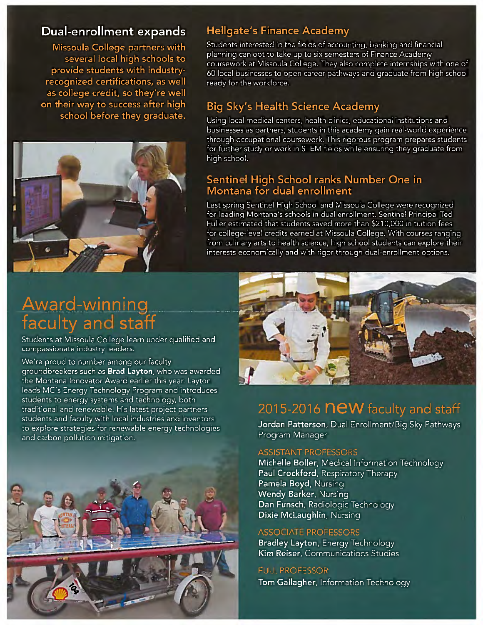#### Dual-enrollment expands

Missoula College partners with several local high schools to provide students with industryrecognized certifications, as well as college credit, so they're well on their way to success after high school before they graduate.



#### **Hellgate's Finance Academy**

Students interested in the fields of accounting, banking and financial planning can opt to take up to six semesters of Finance Academy coursework at Missoula College. They also complete internships with one of 60 local businesses to open career pathways and graduate from high school ready for the workforce.

#### **Big Sky's Health Science Academy**

Using local medical centers, health clinics, educational institutions and businesses as partners, students in this academy gain real-world experience through occupational coursework. This rigorous program prepares students for further study or work in STEM fields while ensuring they graduate from high school.

#### Sentinel High School ranks Number One in Montana for dual enrollment

Last spring Sentinel High School and Missoula College were recognized for leading Montana's schools in dual enrollment. Sentinel Principal Ted Fuller estimated that students saved more than \$210,000 in tuition fees for college-level credits earned at Missoula College. With courses ranging from culinary arts to health science, high school students can explore their interests economically and with rigor through dual-enrollment options.

## **Award-winning**<br>faculty and staff

Students at Missoula College learn under qualified and compassionate industry leaders.

We're proud to number among our faculty groundbreakers such as Brad Layton, who was awarded the Montana Innovator Award earlier this year. Layton leads MC's Energy Technology Program and introduces students to energy systems and technology, both traditional and renewable. His latest project partners students and faculty with local industries and inventors to explore strategies for renewable energy technologies and carbon pollution mitigation.





#### 2015-2016 **NEW** faculty and staff

Jordan Patterson, Dual Enrollment/Big Sky Pathways Program Manager

#### **ASSISTANT PROFESSORS**

Michelle Boller, Medical Information Technology Paul Crockford, Respiratory Therapy Pamela Boyd, Nursing Wendy Barker, Nursing Dan Funsch, Radiologic Technology Dixie McLaughlin, Nursing

#### **ASSOCIATE PROFESSORS**

Bradley Layton, Energy Technology Kim Reiser, Communications Studies

**FULL PROFESSOR** Tom Gallagher, Information Technology